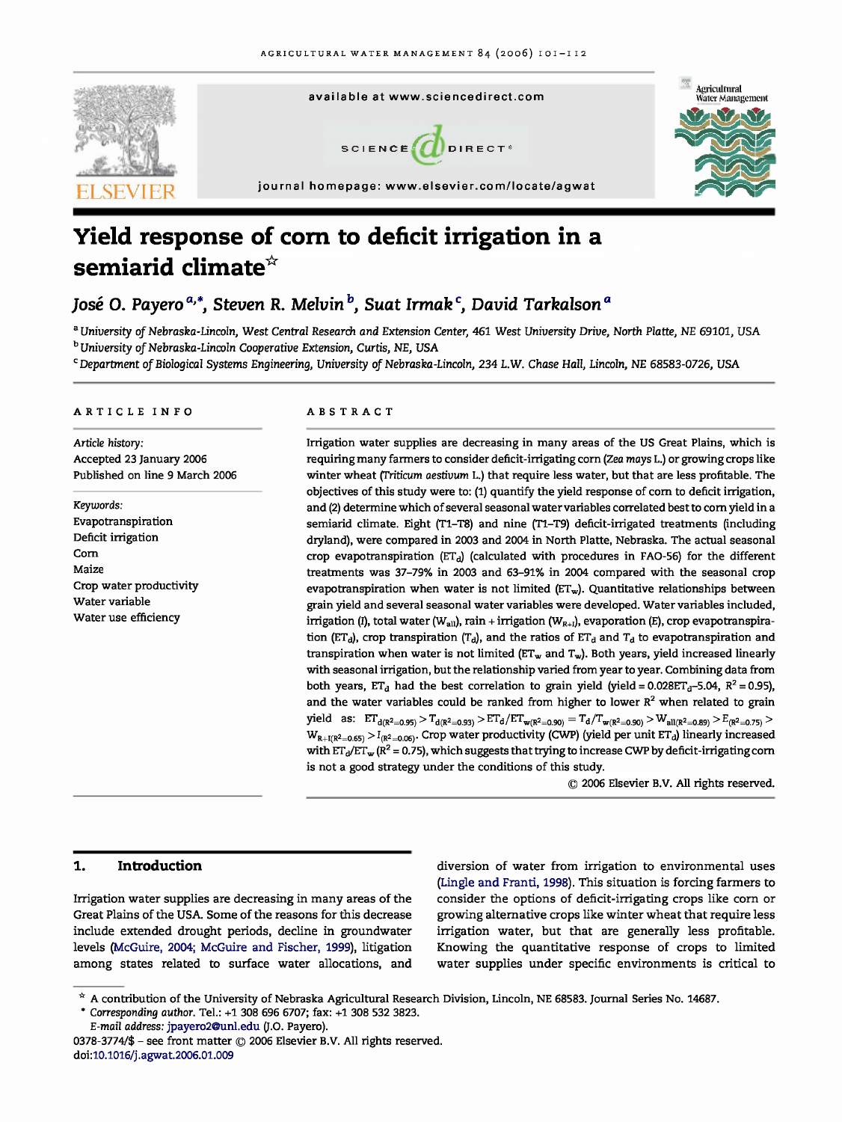

# **Yield response of corn to deficit irrigation in a semiarid climate\***

### José O. Payero<sup>a,\*</sup>, Steven R. Melvin<sup>b</sup>, Suat Irmak<sup>c</sup>, David Tarkalson<sup>a</sup>

<sup>a</sup> University of Nebraska-Lincoln, West Central Research and Extension Center, 461 West University Drive, North Platte, NE 69101, USA <sup>b</sup> University of Nebraska-Lincoln Cooperative Extension, Curtis, NE, USA

*Department* of Biological Systems Engineering, University of Nebraska-Lincoln, 234 L.W. Chase Hall, Lincoln, NE 68583-0726, USA

#### ARTICLE INFO ABSTRACT

Article history: Accepted 23 January 2006 Published on line 9 March 2006

Keywords: Evapotranspiration Deficit irrigation Corn Maize Crop water productivity Water variable Water use efficiency

Irrigation water supplies are decreasing in many areas of the US Great Plains, which is requiring many farmers to consider deficit-irrigating corn (Zea *mays* L.) or growing crops like winter wheat (Triticum aestivum L.) that require less water, but that are less profitable. The objectives of this study were to: (1) quantify the yield response of corn to deficit irrigation, and (2) determine which of several seasonal water variables correlated best to corn yield in a semiarid climate. Eight (T1-T8) and nine (T1-T9) deficit-irrigated treatments (including dryland), were compared in 2003 and 2004 in North Platte, Nebraska. The actual seasonal crop evapotranspiration ( $ET<sub>d</sub>$ ) (calculated with procedures in FAO-56) for the different treatments was 37-79% in 2003 and 63-91% in 2004 compared with the seasonal crop evapotranspiration when water is not limited  $(ET_w)$ . Quantitative relationships between grain yield and several seasonal water variables were developed. Water variables included, irrigation (I), total water (W<sub>au</sub>), rain + irrigation (W<sub>R+I</sub>), evaporation (E), crop evapotranspiration (ET<sub>d</sub>), crop transpiration (T<sub>d</sub>), and the ratios of ET<sub>d</sub> and T<sub>d</sub> to evapotranspiration and transpiration when water is not limited ( $ET_w$  and  $T_w$ ). Both years, yield increased linearly with seasonal irrigation, but the relationship varied from year to year. Combining data from both years,  $ET_d$  had the best correlation to grain yield (yield = 0.028ET<sub>d</sub>-5.04, R<sup>2</sup> = 0.95), and the water variables could be ranked from higher to lower  $R<sup>2</sup>$  when related to grain  $\text{yield} \text{ as:} \quad ET_{d(R^2=0.95)} > T_{d(R^2=0.93)} > ET_d/ET_{w(R^2=0.90)} = T_d/T_{w(R^2=0.90)} > W_{\text{all}(R^2=0.89)} > E_{(R^2=0.75)} >$  $W_{R+I(R^2=0.65)} > I_{(R^2=0.06)}$  Crop water productivity (CWP) (yield per unit ET<sub>d</sub>) linearly increased with  $ET_d/ET_w (R^2 = 0.75)$ , which suggests that trying to increase CWP by deficit-irrigating corn is not a good strategy under the conditions of this study.

© 2006 Elsevier B.V. All rights reserved.

#### 1. **Introduction**

Irrigation water supplies are decreasing in many areas of the Great Plains of the USA. Some of the reasons for this decrease include extended drought periods, decline in groundwater levels (McGuire, 2004; McGuire and Fischer, 1999), litigation among states related to surface water allocations, and

diversion of water from irrigation to environmental uses (Lingle and Franti, 1998). This situation is forcing farmers to consider the options of deficit-irrigating crops like corn or growing alternative crops like winter wheat that require less irrigation water, but that are generally less profitable. Knowing the quantitative response of crops to limited water supplies under specific environments is critical to

*\* Corresponding* author. Tel.: +1 308 696 6707; fax: +1 308 532 3823.

E-mail address: jpayero2@unl.edu (J.0. Payero).

<sup>\*</sup> A contribution of the University of Nebraska Agricultural Research Division, Lincoln, NE 68583. Journal Series No. 14687.

<sup>0378-3774/\$ -</sup> see front matter © 2006 Elsevier B.V. All rights reserved. doi:10.1016/j.agwat.2006.01.009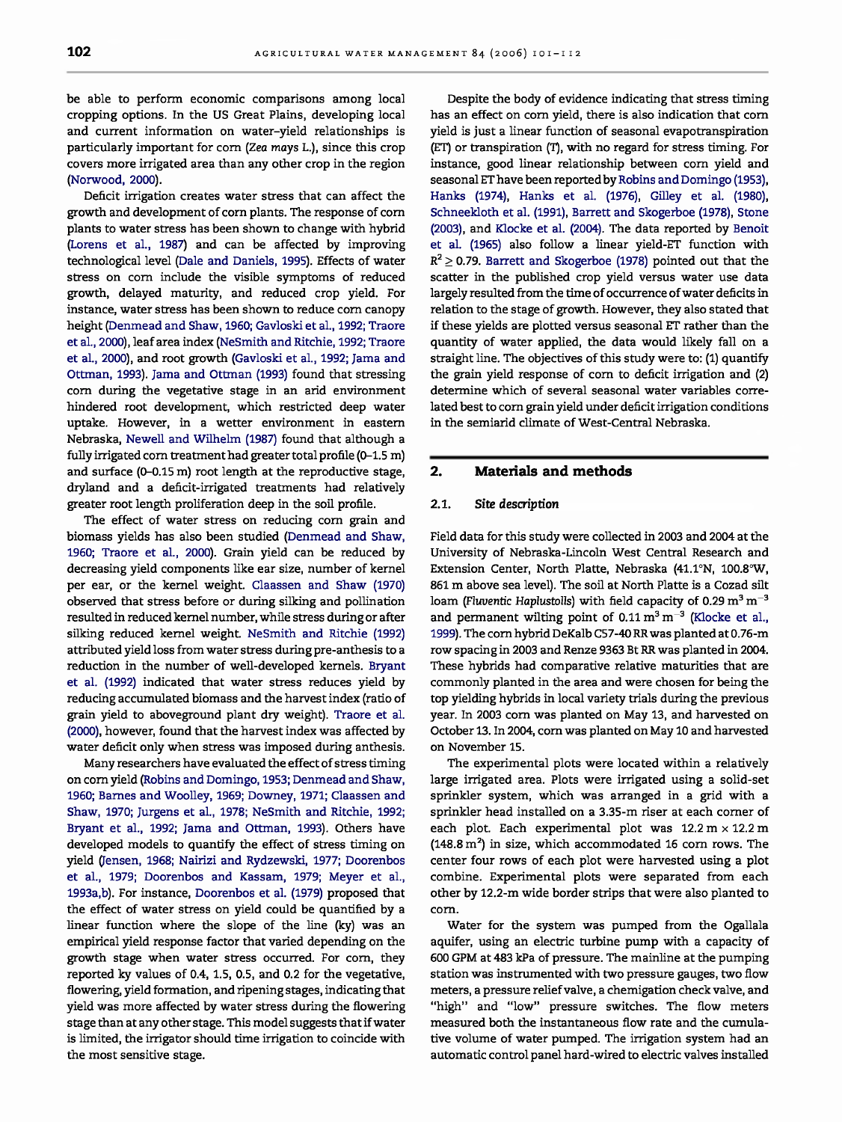be able to perform economic comparisons among local cropping options. In the US Great Plains, developing local and current information on water-yield relationships is particularly important for corn (Zea mays L.), since this crop covers more irrigated area than any other crop in the region (Norwood, 2000).

Deficit irrigation creates water stress that can affect the growth and development of corn plants. The response of corn plants to water stress has been shown to change with hybrid (Lorens et al., 1987) and can be affected by improving technological level (Dale and Daniels, 1995). Effects of water stress on corn include the visible symptoms of reduced growth, delayed maturity, and reduced crop yield. For instance, water stress has been shown to reduce corn canopy height (Denmead and Shaw, 1960; Gavloski et al., 1992; Traore et al., 2000), leaf area index (NeSmith and Ritchie, 1992; Traore et al., 2000), and root growth (Gavloski et al., 1992; Jama and Ottman, 1993). Jama and Ottman (1993) found that stressing corn during the vegetative stage in an arid environment hindered root development, which restricted deep water uptake. However, in a wetter environment in eastern Nebraska, Newell and Wilhelm (1987) found that although a fully irrigated corn treatment had greater total profile (0-1.5 m) and surface (0-0.15 m) root length at the reproductive stage, dryland and a deficit-irrigated treatments had relatively greater root length proliferation deep in the soil profile.

The effect of water stress on reducing corn grain and biomass yields has also been studied (Denmead and Shaw, 1960; Traore et al., 2000). Grain yield can be reduced by decreasing yield components like ear size, number of kernel per ear, or the kernel weight. Claassen and Shaw (1970) observed that stress before or during silking and pollination resulted in reduced kernel number, while stress during or after silking reduced kernel weight. NeSmith and Ritchie (1992) attributed yield loss from water stress during pre-anthesis to a reduction in the number of well-developed kernels. Bryant et al. (1992) indicated that water stress reduces yield by reducing accumulated biomass and the harvest index (ratio of grain yield to aboveground plant dry weight). Traore et al. (2000), however, found that the harvest index was affected by water deficit only when stress was imposed during anthesis.

Many researchers have evaluated the effect of stress timing on corn yield (Robins and Domingo, 1953; Denmead and Shaw, 1960; Barnes and Woolley, 1969; Downey, 1971; Claassen and Shaw, 1970; Jurgens et al., 1978; NeSmith and Ritchie, 1992; Bryant et al., 1992; Jama and Ottman, 1993). Others have developed models to quantify the effect of stress timing on yield (Jensen, 1968; Nairizi and Rydzewski, 1977; Doorenbos et al., 1979; Doorenbos and Kassam, 1979; Meyer et al., 1993a,b). For instance, Doorenbos et al. (1979) proposed that the effect of water stress on yield could be quantified by a linear function where the slope of the line (ky) was an empirical yield response factor that varied depending on the growth stage when water stress occurred. For corn, they reported ky values of 0.4, 1.5, 0.5, and 0.2 for the vegetative, flowering, yield formation, and ripening stages, indicating that yield was more affected by water stress during the flowering stage than at any other stage. This model suggests that if water is limited, the irrigator should time irrigation to coincide with the most sensitive stage.

Despite the body of evidence indicating that stress timing has an effect on corn yield, there is also indication that corn yield is just a linear function of seasonal evapotranspiration (ET) or transpiration (T), with no regard for stress timing. For instance, good linear relationship between corn yield and seasonal ET have been reported by Robins and Domingo (1953), Hanks (1974), Hanks et al. (1976), Gilley et al. (1980), Schneekloth et al. (1991), Barrett and Skogerboe (1978), Stone (2003), and Klocke et al. (2004). The data reported by Benoit et al. (1965) also follow a linear yield-ET function with  $R^2 \ge 0.79$ . Barrett and Skogerboe (1978) pointed out that the scatter in the published crop yield versus water use data largely resulted from the time of occurrence of water deficits in relation to the stage of growth. However, they also stated that if these yields are plotted versus seasonal ET rather than the quantity of water applied, the data would likely fall on a straight line. The objectives of this study were to: (1) quantify the grain yield response of corn to deficit irrigation and (2) determine which of several seasonal water variables correlated best to corn grain yield under deficit irrigation conditions in the semiarid climate of West-Central Nebraska.

#### **2. Materials and methods**

#### 2.1. Site description

Field data for this study were collected in 2003 and 2004 at the University of Nebraska-Lincoln West Central Research and Extension Center, North Platte, Nebraska (41.1°N, 100.8°W, 861 m above sea level). The soil at North Platte is a Cozad silt loam (Fluventic Haplustolls) with field capacity of 0.29  $m^3 m^{-3}$ and permanent wilting point of  $0.11 \text{ m}^3 \text{ m}^{-3}$  (Klocke et al., 1999). The corn hybrid DeKalb C57-40 RR was planted at 0.76-m row spacing in 2003 and Renze 9363 Bt RR was planted in 2004. These hybrids had comparative relative maturities that are commonly planted in the area and were chosen for being the top yielding hybrids in local variety trials during the previous year. In 2003 corn was planted on May 13, and harvested on October 13. In 2004, corn was planted on May 10 and harvested on November 15.

The experimental plots were located within a relatively large irrigated area. Plots were irrigated using a solid-set sprinkler system, which was arranged in a grid with a sprinkler head installed on a 3.35-m riser at each corner of each plot. Each experimental plot was  $12.2 \text{ m} \times 12.2 \text{ m}$  $(148.8 \text{ m}^2)$  in size, which accommodated 16 corn rows. The center four rows of each plot were harvested using a plot combine. Experimental plots were separated from each other by 12.2-m wide border strips that were also planted to corn.

Water for the system was pumped from the Ogallala aquifer, using an electric turbine pump with a capacity of 600 GPM at 483 kPa of pressure. The mainline at the pumping station was instrumented with two pressure gauges, two flow meters, a pressure relief valve, a chemigation check valve, and "high" and "low" pressure switches. The flow meters measured both the instantaneous flow rate and the cumulative volume of water pumped. The irrigation system had an automatic control panel hard-wired to electric valves installed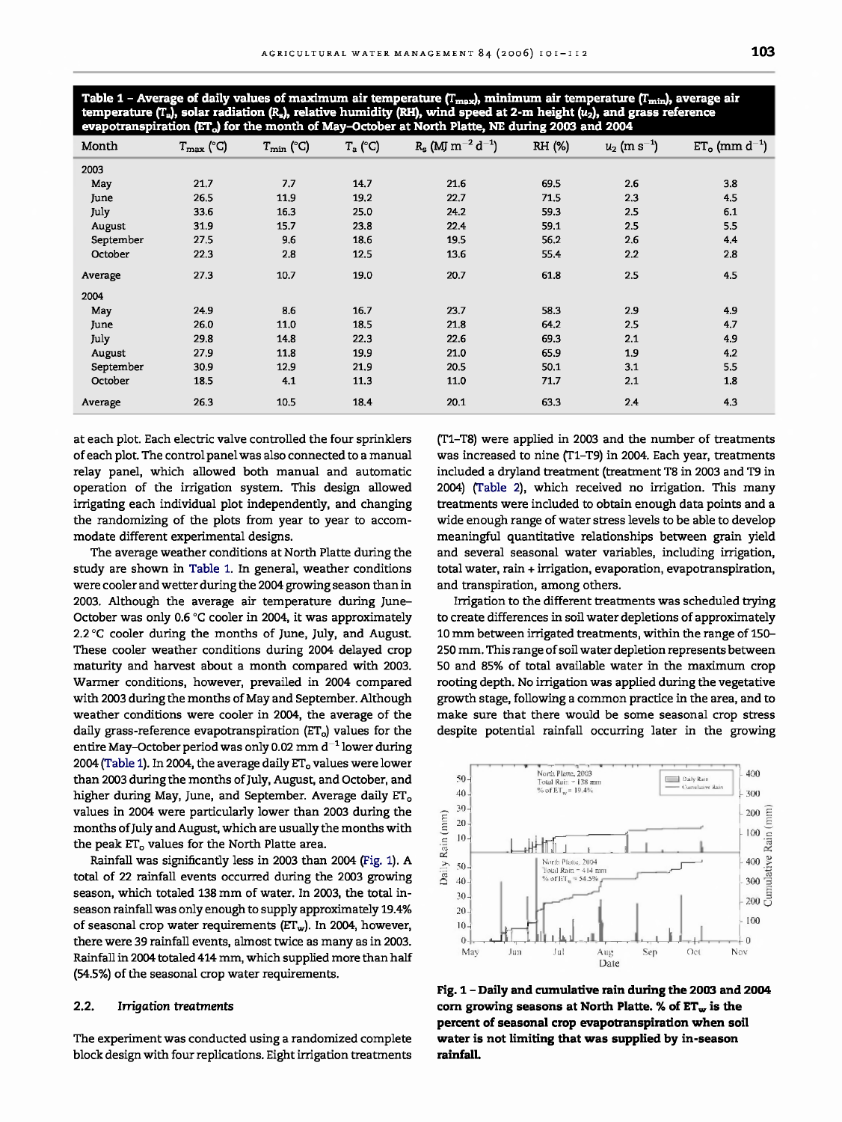Table 1 - Average of daily values of maximum air temperature (T<sub>max</sub>), minimum air temperature (T<sub>min</sub>), average air **temperature (T.), solar radiation** (R5), **relative humidity (RH), wind speed at 2-m height** (u2), **and grass reference evapotranspiration (ET.) for the month of May-October at North Platte, NE during 2003 and 2004**

| Month     | $T_{\text{max}}$ (°C) | $T_{\min}$ (°C) | $T_a$ (°C) | $R_s$ (MJ $m^{-2}$ d <sup>-1</sup> ) | RH (%) | $u_2$ (m s <sup>-1</sup> ) | $ET_{o}$ (mm $d^{-1}$ ) |
|-----------|-----------------------|-----------------|------------|--------------------------------------|--------|----------------------------|-------------------------|
| 2003      |                       |                 |            |                                      |        |                            |                         |
| May       | 21.7                  | 7.7             | 14.7       | 21.6                                 | 69.5   | 2.6                        | 3.8                     |
| June      | 26.5                  | 11.9            | 19.2       | 22.7                                 | 71.5   | 2.3                        | 4.5                     |
| July      | 33.6                  | 16.3            | 25.0       | 24.2                                 | 59.3   | 2.5                        | 6.1                     |
| August    | 31.9                  | 15.7            | 23.8       | 22.4                                 | 59.1   | 2.5                        | 5.5                     |
| September | 27.5                  | 9.6             | 18.6       | 19.5                                 | 56.2   | 2.6                        | 4.4                     |
| October   | 22.3                  | 2.8             | 12.5       | 13.6                                 | 55.4   | 2.2                        | 2.8                     |
| Average   | 27.3                  | 10.7            | 19.0       | 20.7                                 | 61.8   | 2.5                        | 4.5                     |
| 2004      |                       |                 |            |                                      |        |                            |                         |
| May       | 24.9                  | 8.6             | 16,7       | 23,7                                 | 58.3   | 2.9                        | 4.9                     |
| June      | 26.0                  | 11,0            | 18.5       | 21.8                                 | 64.2   | 2.5                        | 4.7                     |
| July      | 29.8                  | 14,8            | 22.3       | 22.6                                 | 69.3   | 2,1                        | 4.9                     |
| August    | 27.9                  | 11.8            | 19.9       | 21.0                                 | 65.9   | 1.9                        | 4.2                     |
| September | 30.9                  | 12.9            | 21,9       | 20.5                                 | 50.1   | 3,1                        | 5.5                     |
| October   | 18.5                  | 4.1             | 11.3       | 11.0                                 | 71,7   | 2.1                        | 1.8                     |
| Average   | 26.3                  | 10.5            | 18.4       | 20.1                                 | 63.3   | 2.4                        | 4.3                     |

at each plot. Each electric valve controlled the four sprinklers of each plot. The control panel was also connected to a manual relay panel, which allowed both manual and automatic operation of the irrigation system. This design allowed irrigating each individual plot independently, and changing the randomizing of the plots from year to year to accommodate different experimental designs.

The average weather conditions at North Platte during the study are shown in Table 1. In general, weather conditions were cooler and wetter during the 2004 growing season than in 2003. Although the average air temperature during June-October was only 0.6 °C cooler in 2004, it was approximately 2.2 °C cooler during the months of June, July, and August. These cooler weather conditions during 2004 delayed crop maturity and harvest about a month compared with 2003. Warmer conditions, however, prevailed in 2004 compared with 2003 during the months of May and September. Although weather conditions were cooler in 2004, the average of the daily grass-reference evapotranspiration  $(ET<sub>o</sub>)$  values for the entire May-October period was only 0.02 mm  $d^{-1}$  lower during 2004 (Table 1). In 2004, the average daily  $ET_0$  values were lower than 2003 during the months of July, August, and October, and higher during May, June, and September. Average daily ET<sub>o</sub> values in 2004 were particularly lower than 2003 during the months of July and August, which are usually the months with the peak ET<sub>o</sub> values for the North Platte area.

Rainfall was significantly less in 2003 than 2004 (Fig. 1). A total of 22 rainfall events occurred during the 2003 growing season, which totaled 138 mm of water. In 2003, the total inseason rainfall was only enough to supply approximately 19.4% of seasonal crop water requirements  $(ET_w)$ . In 2004, however, there were 39 rainfall events, almost twice as many as in 2003. Rainfall in 2004 totaled 414 mm, which supplied more than half (54.5%) of the seasonal crop water requirements.

#### **2.2. Irrigation treatments**

The experiment was conducted using a randomized complete block design with four replications. Eight irrigation treatments (T1-T8) were applied in 2003 and the number of treatments was increased to nine (T1-T9) in 2004. Each year, treatments included a dryland treatment (treatment T8 in 2003 and T9 in 2004) (Table 2), which received no irrigation. This many treatments were included to obtain enough data points and a wide enough range of water stress levels to be able to develop meaningful quantitative relationships between grain yield and several seasonal water variables, including irrigation, total water, rain + irrigation, evaporation, evapotranspiration, and transpiration, among others.

Irrigation to the different treatments was scheduled trying to create differences in soil water depletions of approximately 10 mm between irrigated treatments, within the range of 150- 250 mm. This range of soil water depletion represents between 50 and 85% of total available water in the maximum crop rooting depth. No irrigation was applied during the vegetative growth stage, following a common practice in the area, and to make sure that there would be some seasonal crop stress despite potential rainfall occurring later in the growing



**Fig. 1- Daily and cumulative rain during the 2003 and 2004** corn growing seasons at North Platte. % of ET<sub>w</sub> is the **percent of seasonal crop evapotranspiration when soil water is not limiting that was supplied by in-season rainfall.**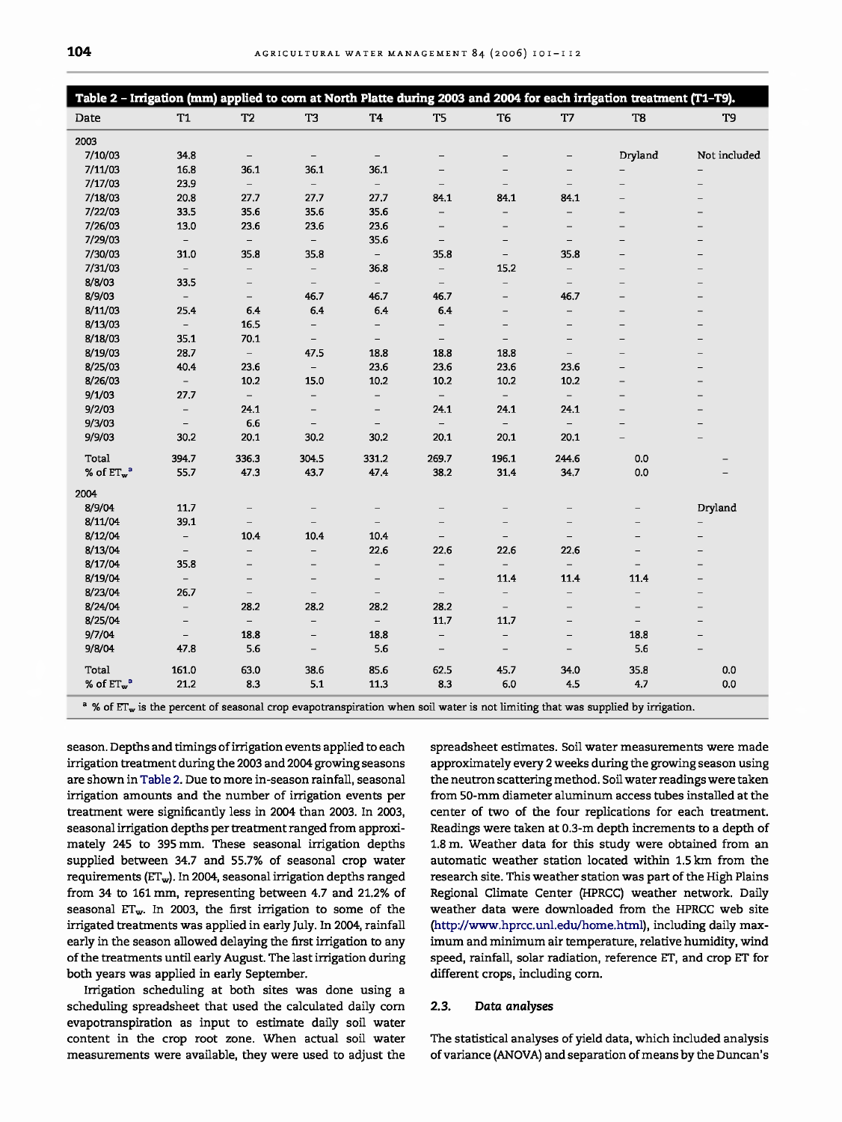|               | Table 2 - Irrigation (mm) applied to corn at North Platte during 2003 and 2004 for each irrigation treatment (T1-T9).                                 |                          |                          |                          |                          |                          |                          |                          |                          |
|---------------|-------------------------------------------------------------------------------------------------------------------------------------------------------|--------------------------|--------------------------|--------------------------|--------------------------|--------------------------|--------------------------|--------------------------|--------------------------|
| Date          | T <sub>1</sub>                                                                                                                                        | T <sub>2</sub>           | T3                       | T4                       | T5                       | T <sub>6</sub>           | T7                       | T <sub>8</sub>           | T9                       |
| 2003          |                                                                                                                                                       |                          |                          |                          |                          |                          |                          |                          |                          |
| 7/10/03       | 34.8                                                                                                                                                  | $\qquad \qquad -$        | $\overline{\phantom{a}}$ | $\qquad \qquad -$        |                          | $\overline{\phantom{0}}$ | $\overline{\phantom{0}}$ | Dryland                  | Not included             |
| 7/11/03       | 16.8                                                                                                                                                  | 36.1                     | 36.1                     | 36.1                     |                          |                          |                          |                          |                          |
| 7/17/03       | 23.9                                                                                                                                                  | $\overline{\phantom{0}}$ | $\overline{\phantom{a}}$ | $\overline{\phantom{a}}$ | $\qquad \qquad -$        |                          | $\qquad \qquad -$        | $\overline{\phantom{0}}$ | $\overline{\phantom{0}}$ |
| 7/18/03       | 20.8                                                                                                                                                  | 27.7                     | 27.7                     | 27,7                     | 84.1                     | 84.1                     | 84.1                     | $\overline{\phantom{0}}$ | $\overline{\phantom{0}}$ |
| 7/22/03       | 33.5                                                                                                                                                  | 35.6                     | 35.6                     | 35.6                     | -                        |                          |                          |                          |                          |
| 7/26/03       | 13.0                                                                                                                                                  | 23.6                     | 23.6                     | 23.6                     | $\qquad \qquad -$        | $\qquad \qquad -$        | $\qquad \qquad -$        | $\qquad \qquad -$        |                          |
| 7/29/03       | $\overline{\phantom{a}}$                                                                                                                              | $\overline{\phantom{0}}$ | $\overline{\phantom{a}}$ | 35.6                     | $\overline{\phantom{a}}$ | $\overline{\phantom{0}}$ | $\qquad \qquad -$        | $\overline{\phantom{0}}$ |                          |
| 7/30/03       | 31.0                                                                                                                                                  | 35.8                     | 35.8                     | $\equiv$                 | 35.8                     | $\qquad \qquad -$        | 35.8                     |                          |                          |
| 7/31/03       | $ \,$                                                                                                                                                 | $\overline{\phantom{a}}$ | $\overline{\phantom{0}}$ | 36.8                     | $\qquad \qquad -$        | 15.2                     | $\overline{\phantom{a}}$ | $\overline{\phantom{0}}$ |                          |
| 8/8/03        | 33.5                                                                                                                                                  | $\overline{\phantom{a}}$ | $\overline{\phantom{a}}$ | $\overline{\phantom{0}}$ | $-$                      | $\qquad \qquad -$        | $\qquad \qquad -$        | $\overline{\phantom{0}}$ |                          |
| 8/9/03        | $\overline{\phantom{0}}$                                                                                                                              | $\qquad \qquad -$        | 46.7                     | 46.7                     | 46.7                     | $\qquad \qquad -$        | 46,7                     |                          |                          |
| 8/11/03       | 25.4                                                                                                                                                  | 6.4                      | 6.4                      | 6.4                      | 6.4                      | $\overline{\phantom{0}}$ | $\qquad \qquad -$        | -                        |                          |
| 8/13/03       | $\overline{\phantom{0}}$                                                                                                                              | 16.5                     | $\overline{\phantom{0}}$ | $\overline{\phantom{a}}$ | $\overline{\phantom{a}}$ | $\overline{\phantom{0}}$ | $\overline{\phantom{0}}$ | $\overline{\phantom{0}}$ |                          |
| 8/18/03       | 35.1                                                                                                                                                  | 70.1                     | $\overline{\phantom{a}}$ | $\overline{\phantom{a}}$ | $-$                      | $\overline{\phantom{a}}$ | $\qquad \qquad -$        | $\qquad \qquad -$        |                          |
| 8/19/03       | 28.7                                                                                                                                                  | $ \,$                    | 47.5                     | 18.8                     | 18.8                     | 18.8                     | $\qquad \qquad -$        | $\overline{\phantom{0}}$ |                          |
| 8/25/03       | 40.4                                                                                                                                                  | 23.6                     | $\overline{\phantom{a}}$ | 23.6                     | 23.6                     | 23.6                     | 23.6                     | -                        |                          |
| 8/26/03       | $\qquad \qquad -$                                                                                                                                     | 10.2                     | 15.0                     | 10.2                     | 10.2                     | 10.2                     | 10.2                     | -                        |                          |
| 9/1/03        | 27,7                                                                                                                                                  | $ \,$                    | $\overline{\phantom{0}}$ | $\overline{\phantom{a}}$ | $ \,$                    | $ \,$                    | $\overline{\phantom{a}}$ | $\overline{\phantom{0}}$ |                          |
| 9/2/03        | $\overline{\phantom{0}}$                                                                                                                              | 24,1                     | $\overline{\phantom{0}}$ | $\overline{\phantom{a}}$ | 24,1                     | 24,1                     | 24,1                     | $\overline{\phantom{0}}$ |                          |
| 9/3/03        | $\overline{\phantom{a}}$                                                                                                                              | 6.6                      | $\overline{\phantom{a}}$ | $\overline{\phantom{a}}$ | $\overline{\phantom{a}}$ | $\overline{\phantom{0}}$ | $\overline{\phantom{a}}$ | $\overline{\phantom{0}}$ |                          |
| 9/9/03        | 30.2                                                                                                                                                  | 20.1                     | 30.2                     | 30.2                     | 20.1                     | 20.1                     | 20.1                     |                          |                          |
| Total         | 394.7                                                                                                                                                 | 336.3                    | 304.5                    | 331.2                    | 269.7                    | 196.1                    | 244.6                    | 0.0                      |                          |
| % of $ET_w^a$ | 55.7                                                                                                                                                  | 47.3                     | 43.7                     | 47.4                     | 38.2                     | 31.4                     | 34.7                     | 0.0                      |                          |
| 2004          |                                                                                                                                                       |                          |                          |                          |                          |                          |                          |                          |                          |
| 8/9/04        | 11.7                                                                                                                                                  | $\qquad \qquad -$        | $\overline{\phantom{0}}$ | $\qquad \qquad -$        | $\overline{\phantom{m}}$ | $\overline{\phantom{0}}$ | $\qquad \qquad -$        |                          | Dryland                  |
| 8/11/04       | 39.1                                                                                                                                                  | $\overline{\phantom{0}}$ | $\overline{\phantom{0}}$ | $\qquad \qquad -$        | $\qquad \qquad -$        | $\overline{\phantom{0}}$ | -                        |                          |                          |
| 8/12/04       | $\qquad \qquad -$                                                                                                                                     | 10.4                     | 10.4                     | 10.4                     | $\overline{\phantom{m}}$ | $\qquad \qquad -$        | $\qquad \qquad -$        | -                        |                          |
| 8/13/04       | $\qquad \qquad -$                                                                                                                                     | $\overline{\phantom{a}}$ | $\overline{\phantom{0}}$ | 22.6                     | 22.6                     | 22.6                     | 22.6                     | $\overline{\phantom{0}}$ |                          |
| 8/17/04       | 35.8                                                                                                                                                  |                          | $\overline{\phantom{0}}$ | $\overline{\phantom{a}}$ | $\overline{\phantom{0}}$ | $\overline{\phantom{0}}$ | $\overline{\phantom{a}}$ |                          |                          |
| 8/19/04       | $\overline{\phantom{a}}$                                                                                                                              | $\qquad \qquad -$        | —                        | $\qquad \qquad -$        | $\overline{\phantom{m}}$ | 11.4                     | 11.4                     | 11.4                     |                          |
| 8/23/04       | 26.7                                                                                                                                                  | $\overline{\phantom{a}}$ | $\overline{\phantom{a}}$ | $\overline{\phantom{a}}$ | $\overline{\phantom{a}}$ | $\overline{\phantom{0}}$ | $\overline{\phantom{a}}$ | $\overline{\phantom{a}}$ |                          |
| 8/24/04       | $\overline{\phantom{0}}$                                                                                                                              | 28.2                     | 28.2                     | 28.2                     | 28.2                     | $\overline{\phantom{a}}$ | $\qquad \qquad -$        | $\overline{\phantom{0}}$ |                          |
| 8/25/04       | -                                                                                                                                                     | $\overline{\phantom{0}}$ | $\overline{\phantom{0}}$ | $\overline{\phantom{0}}$ | 11,7                     | 11.7                     | $\qquad \qquad -$        | $\overline{\phantom{a}}$ |                          |
| 9/7/04        | $\overline{\phantom{m}}$                                                                                                                              | 18.8                     | $\qquad \qquad -$        | 18.8                     | $\overline{\phantom{a}}$ | $\overline{\phantom{a}}$ | $\overline{\phantom{m}}$ | 18.8                     | $\overline{\phantom{0}}$ |
| 9/8/04        | 47.8                                                                                                                                                  | 5.6                      | $\qquad \qquad -$        | 5.6                      | $\overline{\phantom{m}}$ | $\overline{\phantom{0}}$ | $\qquad \qquad -$        | 5.6                      |                          |
| Total         | 161.0                                                                                                                                                 | 63.0                     | 38.6                     | 85.6                     | 62.5                     | 45.7                     | 34.0                     | 35.8                     | 0.0                      |
| % of $ET_w^a$ | 21.2                                                                                                                                                  | 8.3                      | 5.1                      | 11.3                     | 8.3                      | 6.0                      | 4.5                      | 4.7                      | 0.0                      |
|               | <sup>a</sup> % of ET <sub>w</sub> is the percent of seasonal crop evapotranspiration when soil water is not limiting that was supplied by irrigation. |                          |                          |                          |                          |                          |                          |                          |                          |

season. Depths and timings of irrigation events applied to each irrigation treatment during the 2003 and 2004 growing seasons are shown in Table 2. Due to more in-season rainfall, seasonal irrigation amounts and the number of irrigation events per treatment were significantly less in 2004 than 2003. In 2003, seasonal irrigation depths per treatment ranged from approximately 245 to 395 mm. These seasonal irrigation depths supplied between 34.7 and 55.7% of seasonal crop water requirements (ETw). In 2004, seasonal irrigation depths ranged from 34 to 161 mm, representing between 4.7 and 21.2% of seasonal  $ET_w$ . In 2003, the first irrigation to some of the irrigated treatments was applied in early July. In 2004, rainfall early in the season allowed delaying the first irrigation to any of the treatments until early August. The last irrigation during both years was applied in early September.

Irrigation scheduling at both sites was done using a scheduling spreadsheet that used the calculated daily corn evapotranspiration as input to estimate daily soil water content in the crop root zone. When actual soil water measurements were available, they were used to adjust the spreadsheet estimates. Soil water measurements were made approximately every 2 weeks during the growing season using the neutron scattering method. Soil water readings were taken from 50-mm diameter aluminum access tubes installed at the center of two of the four replications for each treatment. Readings were taken at 0.3-m depth increments to a depth of 1.8 m. Weather data for this study were obtained from an automatic weather station located within 1.5 km from the research site. This weather station was part of the High Plains Regional Climate Center (HPRCC) weather network. Daily weather data were downloaded from the HPRCC web site (http://www.hprcc.unl.edu/home.html), including daily maximum and minimum air temperature, relative humidity, wind speed, rainfall, solar radiation, reference ET, and crop ET for different crops, including corn.

#### 2.3. Data analyses

The statistical analyses of yield data, which included analysis of variance (ANOVA) and separation of means by the Duncan's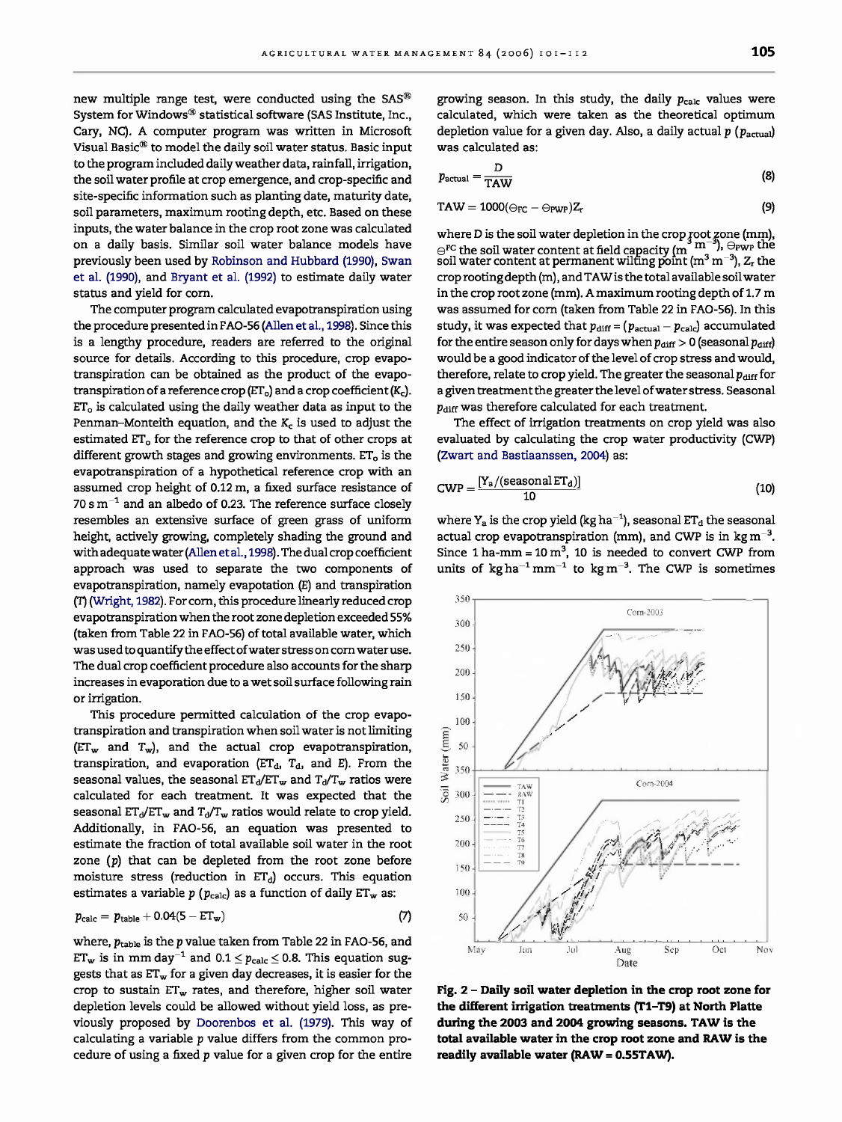new multiple range test, were conducted using the SAS<sup>®</sup> System for Windows® statistical software (SAS Institute, Inc., Cary, NC). A computer program was written in Microsoft Visual Basic® to model the daily soil water status. Basic input to the program included daily weather data, rainfall, irrigation, the soil water profile at crop emergence, and crop-specific and site-specific information such as planting date, maturity date, soil parameters, maximum rooting depth, etc. Based on these inputs, the water balance in the crop root zone was calculated on a daily basis. Similar soil water balance models have previously been used by Robinson and Hubbard (1990), Swan et al. (1990), and Bryant et al. (1992) to estimate daily water status and yield for corn.

The computer program calculated evapotranspiration using the procedure presented in FAO-56 (Allen et al., 1998). Since this is a lengthy procedure, readers are referred to the original source for details. According to this procedure, crop evapotranspiration can be obtained as the product of the evapotranspiration of a reference crop ( $ET<sub>o</sub>$ ) and a crop coefficient ( $K<sub>c</sub>$ ). ET<sub>o</sub> is calculated using the daily weather data as input to the Penman-Monteith equation, and the  $K<sub>c</sub>$  is used to adjust the estimated ET<sub>o</sub> for the reference crop to that of other crops at different growth stages and growing environments.  $ET<sub>o</sub>$  is the evapotranspiration of a hypothetical reference crop with an assumed crop height of 0.12 m, a fixed surface resistance of 70 s  $m^{-1}$  and an albedo of 0.23. The reference surface closely resembles an extensive surface of green grass of uniform height, actively growing, completely shading the ground and with adequate water (Allen et al., 1998). The dual crop coefficient approach was used to separate the two components of evapotranspiration, namely evapotation (E) and transpiration (T) (Wright, 1982). For corn, this procedure linearly reduced crop evapotranspiration when the root zone depletion exceeded 55% (taken from Table 22 in FAO-56) of total available water, which was used to quantify the effect of water stress on corn water use. The dual crop coefficient procedure also accounts for the sharp increases in evaporation due to a wet soil surface following rain or irrigation.

This procedure permitted calculation of the crop evapotranspiration and transpiration when soil water is not limiting  $(ET_w$  and  $T_w$ ), and the actual crop evapotranspiration, transpiration, and evaporation ( $ET_d$ ,  $T_d$ , and E). From the seasonal values, the seasonal  $ET_d/ET_w$  and  $T_d/T_w$  ratios were calculated for each treatment. It was expected that the seasonal  $ET_d/ET_w$  and  $T_d/T_w$  ratios would relate to crop yield. Additionally, in FAO-56, an equation was presented to estimate the fraction of total available soil water in the root zone *(p)* that can be depleted from the root zone before moisture stress (reduction in  $ET_d$ ) occurs. This equation estimates a variable  $p$  ( $p_{\text{calc}}$ ) as a function of daily ET<sub>w</sub> as:

$$
p_{\text{calc}} = p_{\text{table}} + 0.04(5 - \text{ET}_{\text{w}})
$$
 (7)

where,  $p_{\text{table}}$  is the *p* value taken from Table 22 in FAO-56, and  $ET_w$  is in mm day<sup>-1</sup> and  $0.1 \le p_{calc} \le 0.8$ . This equation suggests that as  $ET_w$  for a given day decreases, it is easier for the crop to sustain  $ET_w$  rates, and therefore, higher soil water depletion levels could be allowed without yield loss, as previously proposed by Doorenbos et al. (1979). This way of calculating a variable *p* value differs from the common procedure of using a fixed *p* value for a given crop for the entire growing season. In this study, the daily  $p_{\text{calc}}$  values were calculated, which were taken as the theoretical optimum depletion value for a given day. Also, a daily actual  $p$  ( $p_{\text{actual}}$ ) was calculated as:

$$
p_{\text{actual}} = \frac{D}{\text{TAW}} \tag{8}
$$

$$
TAW = 1000(\ominus_{FC} - \ominus_{PWP})Z_r
$$
\n(9)

where D is the soil water depletion in the crop root zone (mm)  $\infty^{\text{FC}}$  the soil water content at field capacity (m  $^3$  m $^{-3}$ ),  $\ominus_{\text{PWP}}$  the soil water content at permanent wilting point (m $^3$  m $^{-3}$ ),  $Z_{\text{r}}$  the crop rooting depth (m), and TAW is the total available soil water in the crop root zone (mm). A maximum rooting depth of 1.7 m was assumed for corn (taken from Table 22 in FAO-56). In this study, it was expected that  $p_{diff} = (p_{actual} - p_{calc})$  accumulated for the entire season only for days when  $p_{\text{diff}} > 0$  (seasonal  $p_{\text{diff}}$ ) would be a good indicator of the level of crop stress and would, therefore, relate to crop yield. The greater the seasonal  $p_{\text{diff}}$  for a given treatment the greater the level of water stress. Seasonal  $p_{\text{diff}}$  was therefore calculated for each treatment.

The effect of irrigation treatments on crop yield was also evaluated by calculating the crop water productivity (CWP) (Zwart and Bastiaanssen, 2004) as:

$$
CWP = \frac{[Y_a/(seasonal ET_d)]}{10}
$$
 (10)

where  $Y_a$  is the crop yield (kg ha<sup>-1</sup>), seasonal ET<sub>d</sub> the seasonal actual crop evapotranspiration (mm), and CWP is in  $kg m^{-3}$ . Since 1 ha-mm =  $10 \text{ m}^3$ , 10 is needed to convert CWP from units of  $kg ha^{-1} mm^{-1}$  to  $kg m^{-3}$ . The CWP is sometimes

**Fig. 2 - Daily soil water depletion in the crop root zone for the different irrigation treatments (T1-T9) at North Platte during the 2003 and 2004 growing seasons. TAW is the total available water in the crop root zone and RAW is the readily available water (RAW = 0.55TAW).**

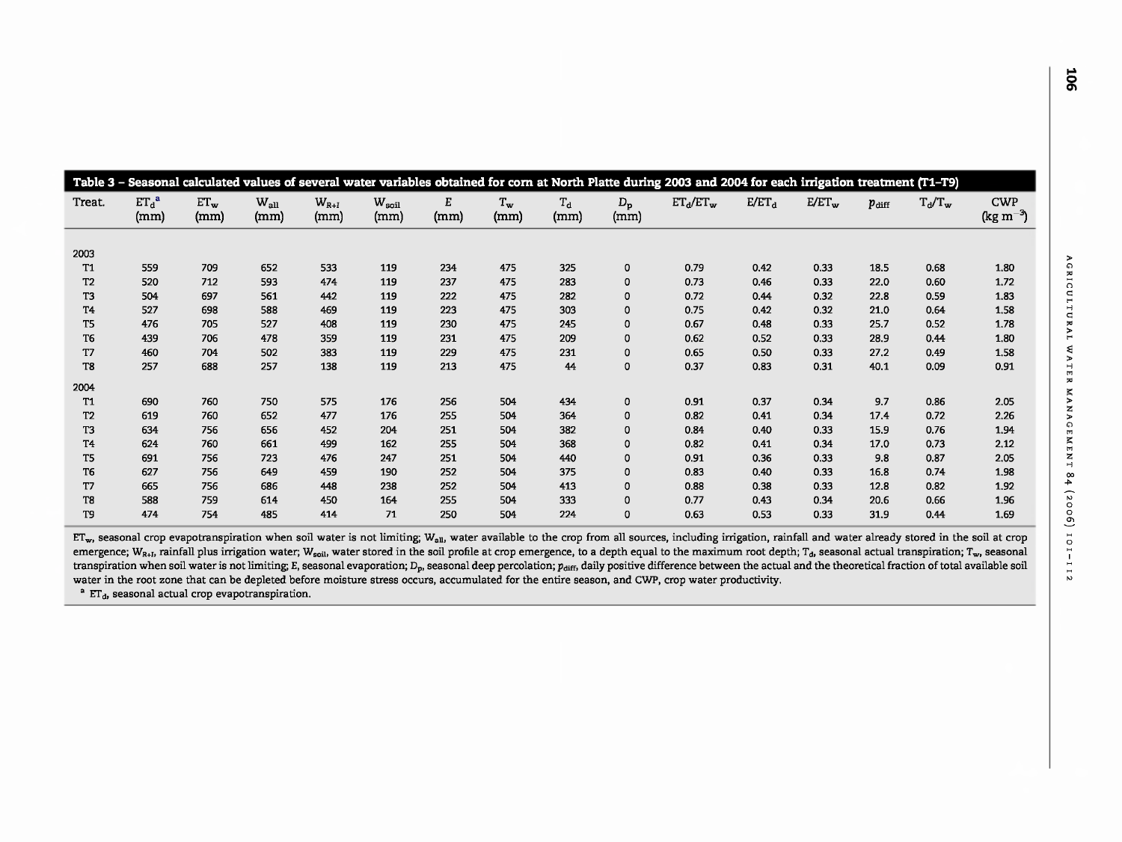| Table 3 - Seasonal calculated values of several water variables obtained for corn at North Platte during 2003 and 2004 for each irrigation treatment (T1-T9) |                  |                  |                   |                   |                        |           |                          |                   |                     |             |          |          |            |           |                                     |
|--------------------------------------------------------------------------------------------------------------------------------------------------------------|------------------|------------------|-------------------|-------------------|------------------------|-----------|--------------------------|-------------------|---------------------|-------------|----------|----------|------------|-----------|-------------------------------------|
| Treat.                                                                                                                                                       | $ET_d^a$<br>(mm) | $ET_{w}$<br>(mm) | $W_{all}$<br>(mm) | $W_{R+I}$<br>(mm) | $W_{\rm soil}$<br>(mm) | E<br>(mm) | $T_{\mathbf{w}}$<br>(mm) | $\rm T_d$<br>(mm) | $D_{\rm p}$<br>(mm) | $ET_d/ET_w$ | $E/ET_d$ | $E/ET_w$ | $p_{diff}$ | $T_d/T_w$ | <b>CWP</b><br>(kg m <sup>-3</sup> ) |
|                                                                                                                                                              |                  |                  |                   |                   |                        |           |                          |                   |                     |             |          |          |            |           |                                     |
| 2003                                                                                                                                                         |                  |                  |                   |                   |                        |           |                          |                   |                     |             |          |          |            |           |                                     |
| Т1                                                                                                                                                           | 559              | 709              | 652               | 533               | 119                    | 234       | 475                      | 325               | $\mathbf 0$         | 0.79        | 0.42     | 0.33     | 18.5       | 0.68      | 1.80                                |
| T <sub>2</sub>                                                                                                                                               | 520              | 712              | 593               | 474               | 119                    | 237       | 475                      | 283               | $\mathbf 0$         | 0.73        | 0.46     | 0.33     | 22.0       | 0.60      | 1.72                                |
| T3                                                                                                                                                           | 504              | 697              | 561               | 442               | 119                    | 222       | 475                      | 282               | $\mathbf 0$         | 0.72        | 0.44     | 0.32     | 22.8       | 0.59      | 1.83                                |
| T <sub>4</sub>                                                                                                                                               | 527              | 698              | 588               | 469               | 119                    | 223       | 475                      | 303               | $\mathbf 0$         | 0.75        | 0.42     | 0.32     | 21.0       | 0.64      | 1.58                                |
| T <sub>5</sub>                                                                                                                                               | 476              | 705              | 527               | 408               | 119                    | 230       | 475                      | 245               | $\mathbf 0$         | 0.67        | 0.48     | 0.33     | 25.7       | 0.52      | 1.78                                |
| T <sub>6</sub>                                                                                                                                               | 439              | 706              | 478               | 359               | 119                    | 231       | 475                      | 209               | $\mathbf 0$         | 0.62        | 0.52     | 0.33     | 28.9       | 0.44      | 1.80                                |
| T7                                                                                                                                                           | 460              | 704              | 502               | 383               | 119                    | 229       | 475                      | 231               | $\mathbf 0$         | 0.65        | 0.50     | 0.33     | 27.2       | 0.49      | 1.58                                |
| T8                                                                                                                                                           | 257              | 688              | 257               | 138               | 119                    | 213       | 475                      | 44                | $\mathbf 0$         | 0.37        | 0.83     | 0.31     | 40.1       | 0.09      | 0.91                                |
| 2004                                                                                                                                                         |                  |                  |                   |                   |                        |           |                          |                   |                     |             |          |          |            |           |                                     |
| <b>T1</b>                                                                                                                                                    | 690              | 760              | 750               | 575               | 176                    | 256       | 504                      | 434               | 0                   | 0.91        | 0.37     | 0.34     | 9.7        | 0.86      | 2.05                                |
| T <sub>2</sub>                                                                                                                                               | 619              | 760              | 652               | 477               | 176                    | 255       | 504                      | 364               | $\mathbf 0$         | 0.82        | 0.41     | 0.34     | 17.4       | 0.72      | 2.26                                |
| T3                                                                                                                                                           | 634              | 756              | 656               | 452               | 204                    | 251       | 504                      | 382               | $\mathbf 0$         | 0.84        | 0.40     | 0.33     | 15.9       | 0.76      | 1.94                                |
| T <sub>4</sub>                                                                                                                                               | 624              | 760              | 661               | 499               | 162                    | 255       | 504                      | 368               | $\mathbf 0$         | 0.82        | 0.41     | 0.34     | 17.0       | 0.73      | 2.12                                |
| T5                                                                                                                                                           | 691              | 756              | 723               | 476               | 247                    | 251       | 504                      | 440               | $\mathbf 0$         | 0.91        | 0.36     | 0.33     | 9.8        | 0.87      | 2.05                                |
| T <sub>6</sub>                                                                                                                                               | 627              | 756              | 649               | 459               | 190                    | 252       | 504                      | 375               | 0                   | 0.83        | 0.40     | 0.33     | 16.8       | 0.74      | 1.98                                |
| T7                                                                                                                                                           | 665              | 756              | 686               | 448               | 238                    | 252       | 504                      | 413               | $\mathbf 0$         | 0.88        | 0.38     | 0.33     | 12.8       | 0.82      | 1.92                                |
| T8                                                                                                                                                           | 588              | 759              | 614               | 450               | 164                    | 255       | 504                      | 333               | $\mathbf 0$         | 0.77        | 0.43     | 0.34     | 20.6       | 0.66      | 1.96                                |
| T9                                                                                                                                                           | 474              | 754              | 485               | 414               | 71                     | 250       | 504                      | 224               | $\mathbf 0$         | 0.63        | 0.53     | 0.33     | 31.9       | 0.44      | 1.69                                |

 $ET_{w}$ , seasonal crop evapotranspiration when soil water is not limiting;  $W_{all}$ , water available to the crop from all sources, including irrigation, rainfall and water already stored in the soil at crop emergence; W<sub>R+I</sub>, rainfall plus irrigation water; W<sub>soil</sub>, water stored in the soil profile at crop emergence, to a depth equal to the maximum root depth; T<sub>d</sub>, seasonal actual transpiration; T<sub>w</sub>, seasonal transpiration when soil water is not limiting; E, seasonal evaporation; D<sub>p</sub>, seasonal deep percolation; p<sub>diff</sub>, daily positive difference between the actual and the theoretical fraction of total available soil water in the root zone that can be depleted before moisture stress occurs, accumulated for the entire season, and CWP, crop water productivity.

 $a$  ET<sub>d</sub>, seasonal actual crop evapotranspiration.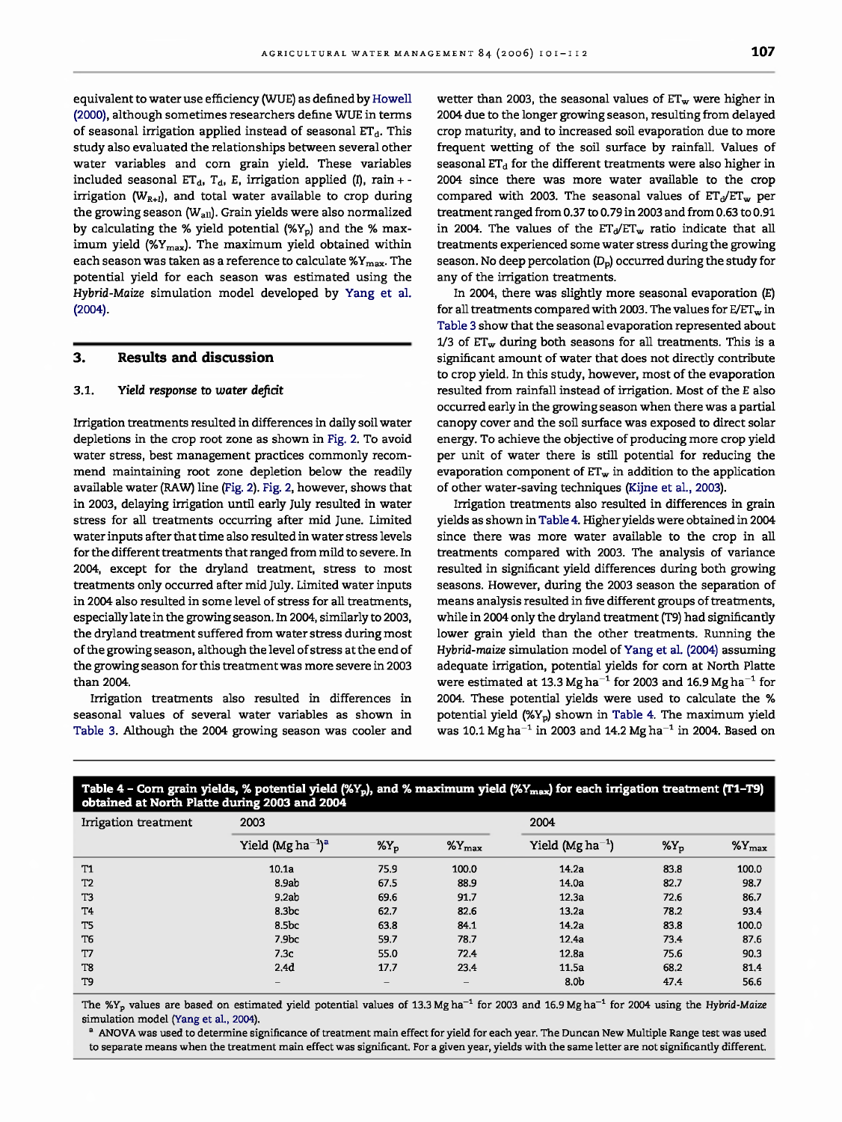equivalent to water use efficiency (WUE) as defined by Howell (2000), although sometimes researchers define WUE in terms of seasonal irrigation applied instead of seasonal  $ET_d$ . This study also evaluated the relationships between several other water variables and corn grain yield. These variables included seasonal  $ET_d$ ,  $T_d$ , E, irrigation applied (I), rain + irrigation ( $W_{R+I}$ ), and total water available to crop during the growing season (W<sub>all</sub>). Grain yields were also normalized by calculating the % yield potential  $(\%Y_p)$  and the % maximum yield (% $Y_{\text{max}}$ ). The maximum yield obtained within each season was taken as a reference to calculate  $\gamma_{\text{max}}$ . The potential yield for each season was estimated using the Hybrid-Maize simulation model developed by Yang et al. (2004).

### **3. Results and discussion**

#### 3.1. Yield **response** to water deficit

Irrigation treatments resulted in differences in daily soil water depletions in the crop root zone as shown in Fig. 2. To avoid water stress, best management practices commonly recommend maintaining root zone depletion below the readily available water (RAW) line (Fig. 2). Fig. 2, however, shows that in 2003, delaying irrigation until early July resulted in water stress for all treatments occurring after mid June. Limited water inputs after that time also resulted in water stress levels for the different treatments that ranged from mild to severe. In 2004, except for the dryland treatment, stress to most treatments only occurred after mid July. Limited water inputs in 2004 also resulted in some level of stress for all treatments, especially late in the growing season. In 2004, similarly to 2003, the dryland treatment suffered from water stress during most of the growing season, although the level of stress at the end of the growing season for this treatment was more severe in 2003 than 2004.

Irrigation treatments also resulted in differences in seasonal values of several water variables as shown in Table 3. Although the 2004 growing season was cooler and wetter than 2003, the seasonal values of  $ET_w$  were higher in 2004 due to the longer growing season, resulting from delayed crop maturity, and to increased soil evaporation due to more frequent wetting of the soil surface by rainfall. Values of seasonal  $ET_d$  for the different treatments were also higher in 2004 since there was more water available to the crop compared with 2003. The seasonal values of  $ET_d/ET_w$  per treatment ranged from 0.37 to 0.79 in 2003 and from 0.63 to 0.91 in 2004. The values of the  $ET_d/ET_w$  ratio indicate that all treatments experienced some water stress during the growing season. No deep percolation  $(D_p)$  occurred during the study for any of the irrigation treatments.

In 2004, there was slightly more seasonal evaporation (E) for all treatments compared with 2003. The values for  $E/ET_w$  in Table 3 show that the seasonal evaporation represented about  $1/3$  of  $ET_w$  during both seasons for all treatments. This is a significant amount of water that does not directly contribute to crop yield. In this study, however, most of the evaporation resulted from rainfall instead of irrigation. Most of the E also occurred early in the growing season when there was a partial canopy cover and the soil surface was exposed to direct solar energy. To achieve the objective of producing more crop yield per unit of water there is still potential for reducing the evaporation component of  $ET_w$  in addition to the application of other water-saving techniques (Kijne et al., 2003).

Irrigation treatments also resulted in differences in grain yields as shown in Table 4. Higher yields were obtained in 2004 since there was more water available to the crop in all treatments compared with 2003. The analysis of variance resulted in significant yield differences during both growing seasons. However, during the 2003 season the separation of means analysis resulted in five different groups of treatments, while in 2004 only the dryland treatment (T9) had significantly lower grain yield than the other treatments. Running the Hybrid-maize simulation model of Yang et al. (2004) assuming adequate irrigation, potential yields for corn at North Platte were estimated at 13.3 Mg ha<sup>-1</sup> for 2003 and 16.9 Mg ha<sup>-1</sup> for 2004. These potential yields were used to calculate the % potential yield (%Yp) shown in Table 4. The maximum yield was 10.1 Mg ha<sup>-1</sup> in 2003 and 14.2 Mg ha<sup>-1</sup> in 2004. Based on

| obtained at North Platte during 2003 and 2004 |                                     |                  |                    |                       |            |                    |  |  |  |  |
|-----------------------------------------------|-------------------------------------|------------------|--------------------|-----------------------|------------|--------------------|--|--|--|--|
| Irrigation treatment                          | 2003                                |                  |                    | 2004                  |            |                    |  |  |  |  |
|                                               | Yield (Mg ha $^{-1}$ ) <sup>a</sup> | $\gamma_{\rm y}$ | $\%Y_{\text{max}}$ | Yield (Mg $ha^{-1}$ ) | $\gamma_0$ | $\%Y_{\text{max}}$ |  |  |  |  |
| <b>T1</b>                                     | 10.1a                               | 75.9             | 100.0              | 14.2a                 | 83.8       | 100.0              |  |  |  |  |
| T <sub>2</sub>                                | 8.9ab                               | 67.5             | 88.9               | 14.0a                 | 82,7       | 98.7               |  |  |  |  |
| T3                                            | 9.2ab                               | 69.6             | 91.7               | 12.3a                 | 72.6       | 86,7               |  |  |  |  |
| T <sub>4</sub>                                | 8.3 <sub>bc</sub>                   | 62.7             | 82.6               | 13.2a                 | 78.2       | 93.4               |  |  |  |  |
| T5                                            | 8.5bc                               | 63.8             | 84,1               | 14.2a                 | 83.8       | 100,0              |  |  |  |  |
| T6                                            | 7.9 <sub>bc</sub>                   | 59.7             | 78.7               | 12.4a                 | 73.4       | 87.6               |  |  |  |  |
| T7                                            | 7.3c                                | 55.0             | 72.4               | 12.8a                 | 75.6       | 90.3               |  |  |  |  |
| T8                                            | 2.4d                                | 17.7             | 23.4               | 11.5a                 | 68.2       | 81.4               |  |  |  |  |
| T <sub>9</sub>                                | $\overline{\phantom{0}}$            | $\qquad \qquad$  |                    | 8.0 <sub>b</sub>      | 47.4       | 56.6               |  |  |  |  |

# Table 4 - Corn grain yields, % potential yield (%Y<sub>p</sub>), and % maximum yield (%Y<sub>max</sub>) for each irrigation treatment (T1-T9)

The  $\frac{W}{Y}$  values are based on estimated yield potential values of 13.3 Mg ha<sup>-1</sup> for 2003 and 16.9 Mg ha<sup>-1</sup> for 2004 using the Hybrid-Maize simulation model (Yang et al., 2004).

<sup>a</sup> ANOVA was used to determine significance of treatment main effect for yield for each year. The Duncan New Multiple Range test was used to separate means when the treatment main effect was significant. For a given year, yields with the same letter are not significantly different.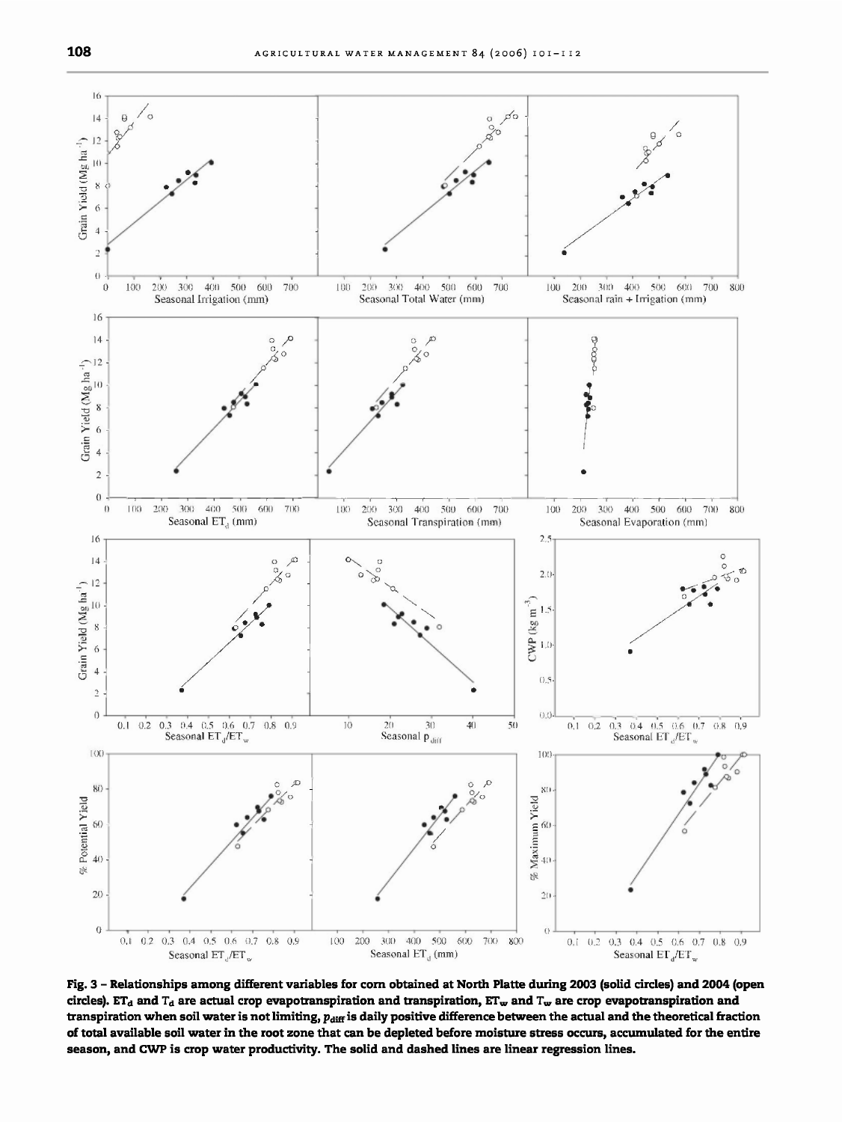

**Fig. 3 - Relationships among different variables for corn obtained at North Platte during 2003 (solid circles) and 2004 (open** circles). ET<sub>d</sub> and T<sub>d</sub> are actual crop evapotranspiration and transpiration, ET<sub>w</sub> and T<sub>w</sub> are crop evapotranspiration and transpiration when soil water is not limiting,  $p_{\text{diff}}$  is daily positive difference between the actual and the theoretical fraction **of total available soil water in the root zone that can be depleted before moisture stress occurs, accumulated for the entire season, and CWP is crop water productivity. The solid and dashed lines are linear regression lines.**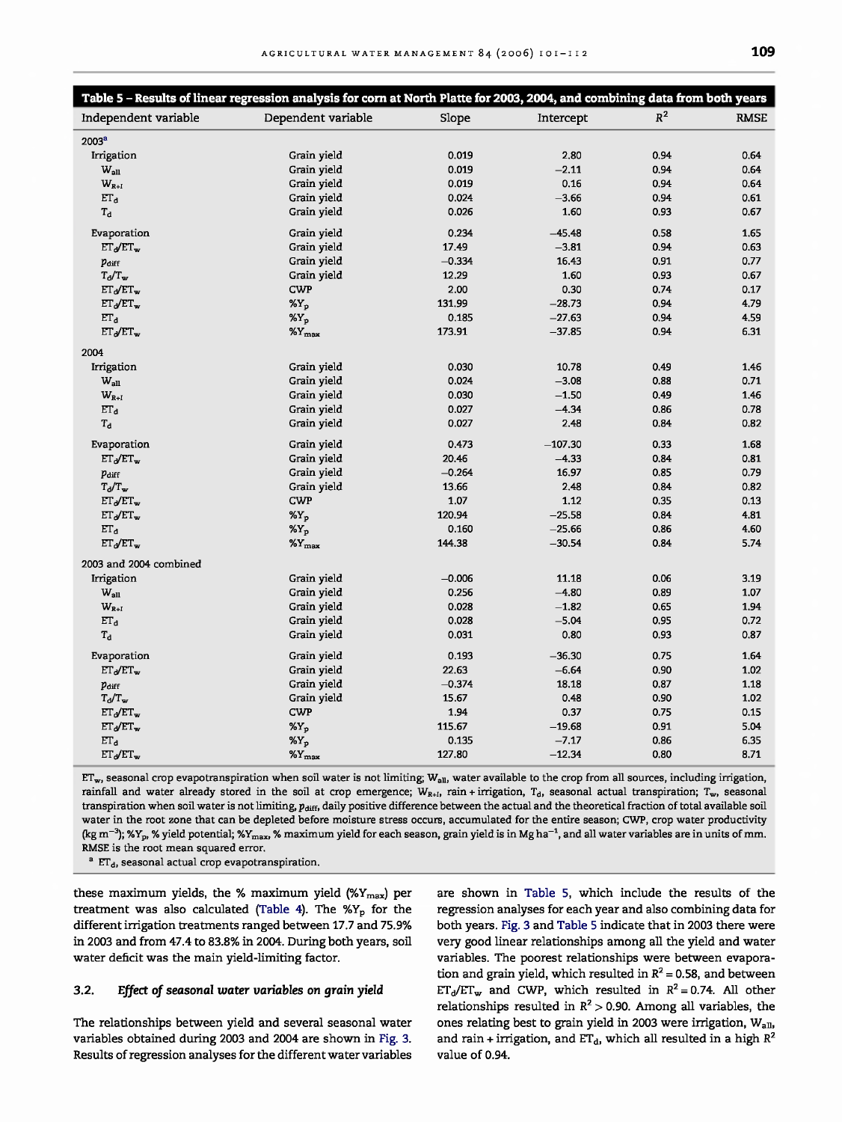|                        | Table 5 - Results of linear regression analysis for corn at North Platte for 2003, 2004, and combining data from both years |          |           |                |             |
|------------------------|-----------------------------------------------------------------------------------------------------------------------------|----------|-----------|----------------|-------------|
| Independent variable   | Dependent variable                                                                                                          | Slope    | Intercept | $\mathbb{R}^2$ | <b>RMSE</b> |
| 2003 <sup>a</sup>      |                                                                                                                             |          |           |                |             |
| Irrigation             | Grain yield                                                                                                                 | 0.019    | 2.80      | 0.94           | 0.64        |
| $W_{all}$              | Grain yield                                                                                                                 | 0.019    | $-2.11$   | 0.94           | 0.64        |
| $W_{R+I}$              | Grain yield                                                                                                                 | 0.019    | 0.16      | 0.94           | 0.64        |
| $\Gamma_{\rm d}$       | Grain yield                                                                                                                 | 0.024    | $-3.66$   | 0.94           | 0.61        |
| $T_{\rm d}$            | Grain yield                                                                                                                 | 0.026    | 1.60      | 0.93           | 0.67        |
| Evaporation            | Grain yield                                                                                                                 | 0.234    | $-45.48$  | 0.58           | 1.65        |
| $ET_d/ET_w$            | Grain yield                                                                                                                 | 17.49    | $-3.81$   | 0.94           | 0.63        |
| Pdiff                  | Grain yield                                                                                                                 | $-0.334$ | 16.43     | 0.91           | 0.77        |
| $T_d/T_w$              | Grain yield                                                                                                                 | 12.29    | 1.60      | 0.93           | 0.67        |
| $ET_d/ET_w$            | <b>CWP</b>                                                                                                                  | 2.00     | 0.30      | 0.74           | 0.17        |
| $ET_d/ET_w$            | $X_{p}$                                                                                                                     | 131.99   | $-28.73$  | 0.94           | 4.79        |
| ET <sub>d</sub>        | $X_{p}$                                                                                                                     | 0.185    | $-27.63$  | 0.94           | 4.59        |
| $ET_d/TT_w$            | $\gamma_{\text{max}}$                                                                                                       | 173.91   | $-37.85$  | 0.94           | 6.31        |
| 2004                   |                                                                                                                             |          |           |                |             |
| Irrigation             | Grain vield                                                                                                                 | 0.030    | 10.78     | 0.49           | 1.46        |
| $W_{all}$              | Grain yield                                                                                                                 | 0.024    | $-3.08$   | 0.88           | 0.71        |
| $W_{R+I}$              | Grain yield                                                                                                                 | 0.030    | $-1.50$   | 0.49           | 1,46        |
| ET <sub>d</sub>        | Grain yield                                                                                                                 | 0.027    | $-4.34$   | 0.86           | 0.78        |
| $T_{\rm d}$            | Grain yield                                                                                                                 | 0.027    | 2,48      | 0.84           | 0.82        |
| Evaporation            | Grain yield                                                                                                                 | 0.473    | $-107.30$ | 0.33           | 1.68        |
| $ET_d/T_{\rm w}$       | Grain yield                                                                                                                 | 20.46    | $-4.33$   | 0.84           | 0.81        |
| Pdiff                  | Grain yield                                                                                                                 | $-0.264$ | 16.97     | 0.85           | 0.79        |
| $T_d/T_w$              | Grain yield                                                                                                                 | 13.66    | 2.48      | 0.84           | 0.82        |
| $ET_d/ET_w$            | <b>CWP</b>                                                                                                                  | 1.07     | 1.12      | 0.35           | 0.13        |
| $ET_d/ET_w$            | $\gamma_0$                                                                                                                  | 120.94   | $-25.58$  | 0.84           | 4.81        |
| ET <sub>d</sub>        | %Y <sub>p</sub>                                                                                                             | 0.160    | $-25,66$  | 0.86           | 4,60        |
| $ET_d/ET_w$            | $\gamma_{\text{M}_{\text{max}}}$                                                                                            | 144.38   | $-30.54$  | 0.84           | 5.74        |
| 2003 and 2004 combined |                                                                                                                             |          |           |                |             |
| Irrigation             | Grain yield                                                                                                                 | $-0.006$ | 11.18     | 0.06           | 3.19        |
| $W_{all}$              | Grain yield                                                                                                                 | 0.256    | $-4.80$   | 0.89           | 1.07        |
| $W_{R+I}$              | Grain yield                                                                                                                 | 0.028    | $-1.82$   | 0.65           | 1.94        |
| $\Gamma_{\rm d}$       | Grain yield                                                                                                                 | 0.028    | $-5.04$   | 0.95           | 0.72        |
| $T_{\rm d}$            | Grain yield                                                                                                                 | 0.031    | 0.80      | 0.93           | 0.87        |
| Evaporation            | Grain yield                                                                                                                 | 0.193    | $-36.30$  | 0.75           | 1.64        |
| $ET_d/ET_w$            | Grain yield                                                                                                                 | 22.63    | $-6.64$   | 0.90           | 1.02        |
| Pdiff                  | Grain yield                                                                                                                 | $-0.374$ | 18.18     | 0.87           | 1.18        |
| $T_d/T_w$              | Grain yield                                                                                                                 | 15.67    | 0.48      | 0.90           | 1.02        |
| $ET_d/ET_w$            | <b>CWP</b>                                                                                                                  | 1.94     | 0.37      | 0.75           | 0.15        |
| $ET_d/ET_w$            | $X_Y$                                                                                                                       | 115.67   | $-19.68$  | 0.91           | 5.04        |
| $\Gamma_{\rm d}$       | %Y <sub>p</sub>                                                                                                             | 0.135    | $-7.17$   | 0.86           | 6.35        |
| $ET_d/ET_w$            | $\gamma_{\rm Ymax}$                                                                                                         | 127.80   | $-12.34$  | 0.80           | 8.71        |

 $ET_{w}$ , seasonal crop evapotranspiration when soil water is not limiting;  $W_{all}$ , water available to the crop from all sources, including irrigation, rainfall and water already stored in the soil at crop emergence;  $W_{R+I}$ , rain + irrigation, T<sub>d</sub>, seasonal actual transpiration; T<sub>w</sub>, seasonal transpiration when soil water is not limiting,  $p_{\text{diff}}$ , daily positive difference between the actual and the theoretical fraction of total available soil water in the root zone that can be depleted before moisture stress occurs, accumulated for the entire season; CWP, crop water productivity (kg m<sup>-3</sup>); %Y<sub>p</sub>, % yield potential; %Y<sub>max</sub>, % maximum yield for each season, grain yield is in Mg ha<sup>-1</sup>, and all water variables are in units of mm. RMSE is the root mean squared error.

 $^a$  ET<sub>d</sub>, seasonal actual crop evapotranspiration.

these maximum yields, the % maximum yield  $(\frac{V}{W_{\text{max}}})$  per treatment was also calculated (Table 4). The  $\mathscr{C}Y_p$  for the different irrigation treatments ranged between 17.7 and 75.9% in 2003 and from 47.4 to 83.8% in 2004. During both years, soil water deficit was the main yield-limiting factor.

#### **3.2.** Effect of seasonal water variables **on grain yield**

The relationships between yield and several seasonal water variables obtained during 2003 and 2004 are shown in Fig. 3. Results of regression analyses for the different water variables are shown in Table 5, which include the results of the regression analyses for each year and also combining data for both years. Fig. 3 and Table 5 indicate that in 2003 there were very good linear relationships among all the yield and water variables. The poorest relationships were between evaporation and grain yield, which resulted in  $R^2 = 0.58$ , and between  $ET_d/ET_w$  and CWP, which resulted in  $R^2 = 0.74$ . All other relationships resulted in  $R^2 > 0.90$ . Among all variables, the ones relating best to grain yield in 2003 were irrigation, Wall, and rain + irrigation, and  $ET_d$ , which all resulted in a high  $R^2$ value of 0.94.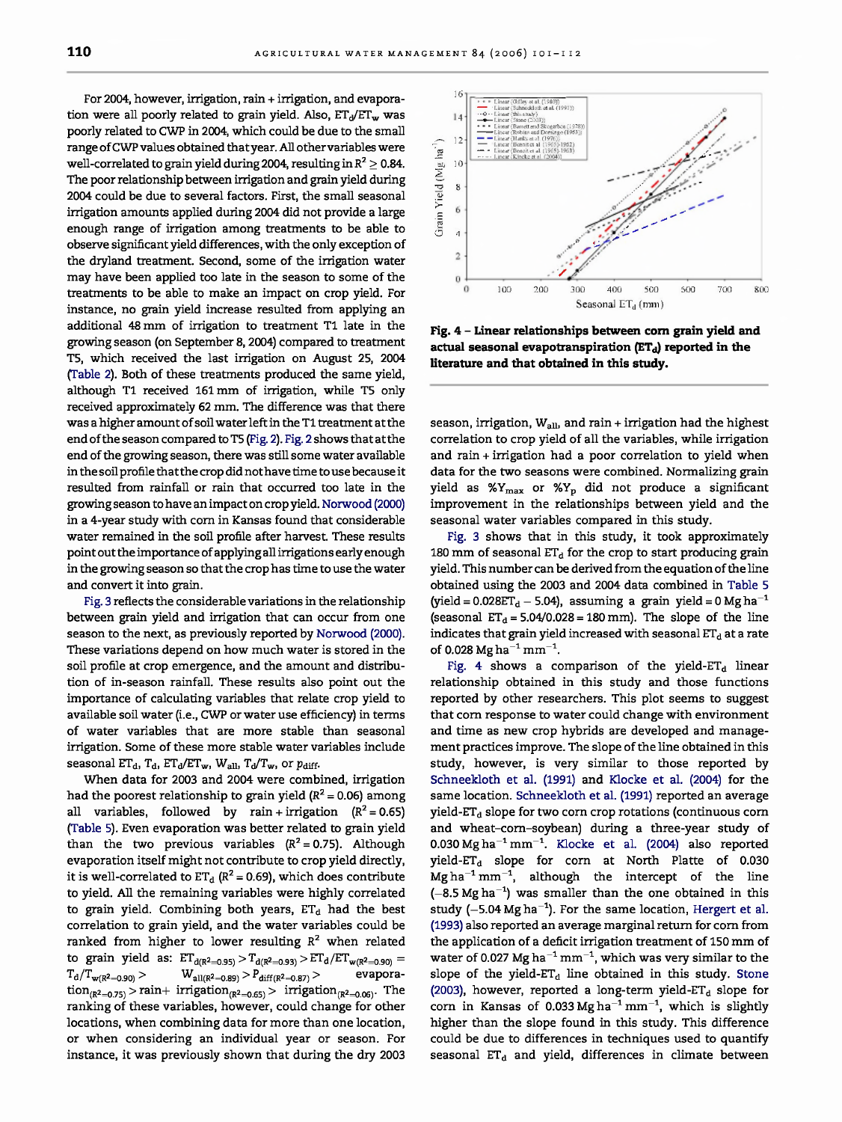For 2004, however, irrigation, rain + irrigation, and evaporation were all poorly related to grain yield. Also,  $ET_d/ET_w$  was poorly related to CWP in 2004, which could be due to the small range of CWP values obtained that year. All other variables were well-correlated to grain yield during 2004, resulting in  $R^2 \geq 0.84$ . The poor relationship between irrigation and grain yield during 2004 could be due to several factors. First, the small seasonal irrigation amounts applied during 2004 did not provide a large enough range of irrigation among treatments to be able to observe significant yield differences, with the only exception of the dryland treatment. Second, some of the irrigation water may have been applied too late in the season to some of the treatments to be able to make an impact on crop yield. For instance, no grain yield increase resulted from applying an additional 48 mm of irrigation to treatment T1 late in the growing season (on September 8, 2004) compared to treatment T5, which received the last irrigation on August 25, 2004 (Table 2). Both of these treatments produced the same yield, although T1 received 161 mm of irrigation, while T5 only received approximately 62 mm. The difference was that there was a higher amount of soil water left in the T1 treatment at the end of the season compared to T5 (Fig. 2). Fig. 2 shows that at the end of the growing season, there was still some water available in the soil profile that the crop did not have time to use because it resulted from rainfall or rain that occurred too late in the growing season to have an impact on crop yield. Norwood (2000) in a 4-year study with corn in Kansas found that considerable water remained in the soil profile after harvest. These results point out the importance of applying all irrigations early enough in the growing season so that the crop has time to use the water and convert it into grain.

Fig. 3 reflects the considerable variations in the relationship between grain yield and irrigation that can occur from one season to the next, as previously reported by Norwood (2000). These variations depend on how much water is stored in the soil profile at crop emergence, and the amount and distribution of in-season rainfall. These results also point out the importance of calculating variables that relate crop yield to available soil water (i.e., CWP or water use efficiency) in terms of water variables that are more stable than seasonal irrigation. Some of these more stable water variables include seasonal ET<sub>d</sub>, T<sub>d</sub>, ET<sub>d</sub>/ET<sub>w</sub>, W<sub>all</sub>, T<sub>d</sub>/T<sub>w</sub>, or p<sub>diff</sub>.

When data for 2003 and 2004 were combined, irrigation had the poorest relationship to grain yield ( $R^2$  = 0.06) among all variables, followed by rain + irrigation  $(R^2 = 0.65)$ (Table 5). Even evaporation was better related to grain yield than the two previous variables  $(R^2 = 0.75)$ . Although evaporation itself might not contribute to crop yield directly, it is well-correlated to  $ET_d$  ( $R^2 = 0.69$ ), which does contribute to yield. All the remaining variables were highly correlated to grain yield. Combining both years,  $ET_d$  had the best correlation to grain yield, and the water variables could be ranked from higher to lower resulting  $R^2$  when related to grain yield as:  $ET_{d(R^2=0.95)} > T_{d(R^2=0.93)} > ET_d/ET_{w(R^2=0.90)} =$  $T_d/T_{w(R^2=0.90)} > W_{all(R^2=0.89)} > P_{diff(R^2=0.87)} >$  evapora- $\text{tion}_{(R^2=0.75)} > \text{rain}+ \text{irrigation}_{(R^2=0.65)} > \text{irrigation}_{(R^2=0.06)}$ . The ranking of these variables, however, could change for other locations, when combining data for more than one location, or when considering an individual year or season. For instance, it was previously shown that during the dry 2003



**Fig. 4 - Linear relationships between corn grain yield and** actual seasonal evapotranspiration (ETd) reported in the **literature and that obtained in this study.**

season, irrigation,  $W_{all}$ , and rain + irrigation had the highest correlation to crop yield of all the variables, while irrigation and rain + irrigation had a poor correlation to yield when data for the two seasons were combined. Normalizing grain yield as  $\frac{W_{\text{max}}}{V_{\text{max}}}$  or  $\frac{W_{\text{max}}}{V_{\text{max}}}$  did not produce a significant improvement in the relationships between yield and the seasonal water variables compared in this study.

Fig. 3 shows that in this study, it took approximately 180 mm of seasonal  $ET_d$  for the crop to start producing grain yield. This number can be derived from the equation of the line obtained using the 2003 and 2004 data combined in Table 5 (yield =  $0.028ET_d - 5.04$ ), assuming a grain yield =  $0 \text{ Mg ha}^{-1}$ (seasonal  $ET_d = 5.04/0.028 = 180$  mm). The slope of the line indicates that grain yield increased with seasonal  $ET_d$  at a rate of 0.028 Mg ha<sup>-1</sup> mm<sup>-1</sup>.

Fig. 4 shows a comparison of the yield- $ET_d$  linear relationship obtained in this study and those functions reported by other researchers. This plot seems to suggest that corn response to water could change with environment and time as new crop hybrids are developed and management practices improve. The slope of the line obtained in this study, however, is very similar to those reported by Schneekloth et al. (1991) and Klocke et al. (2004) for the same location. Schneekloth et al. (1991) reported an average yield- $ET_d$  slope for two corn crop rotations (continuous corn and wheat-corn-soybean) during a three-year study of  $0.030$  Mg ha<sup>-1</sup> mm<sup>-1</sup>. Klocke et al. (2004) also reported yield- $ET_d$  slope for corn at North Platte of 0.030  $\texttt{Mg} \, \texttt{ha}^{-1} \, \texttt{mm}^{-1}$  , although the intercept of the line  $(-8.5 \text{ Mg ha}^{-1})$  was smaller than the one obtained in this study ( $-5.04$  Mg ha<sup>-1</sup>). For the same location, Hergert et al. (1993) also reported an average marginal return for corn from the application of a deficit irrigation treatment of 150 mm of water of 0.027 Mg ha<sup>-1</sup> mm<sup>-1</sup>, which was very similar to the slope of the yield- $ET_d$  line obtained in this study. Stone (2003), however, reported a long-term yield-ET $_d$  slope for corn in Kansas of 0.033 Mg ha<sup>-1</sup> mm<sup>-1</sup>, which is slightly higher than the slope found in this study. This difference could be due to differences in techniques used to quantify seasonal  $ET_d$  and yield, differences in climate between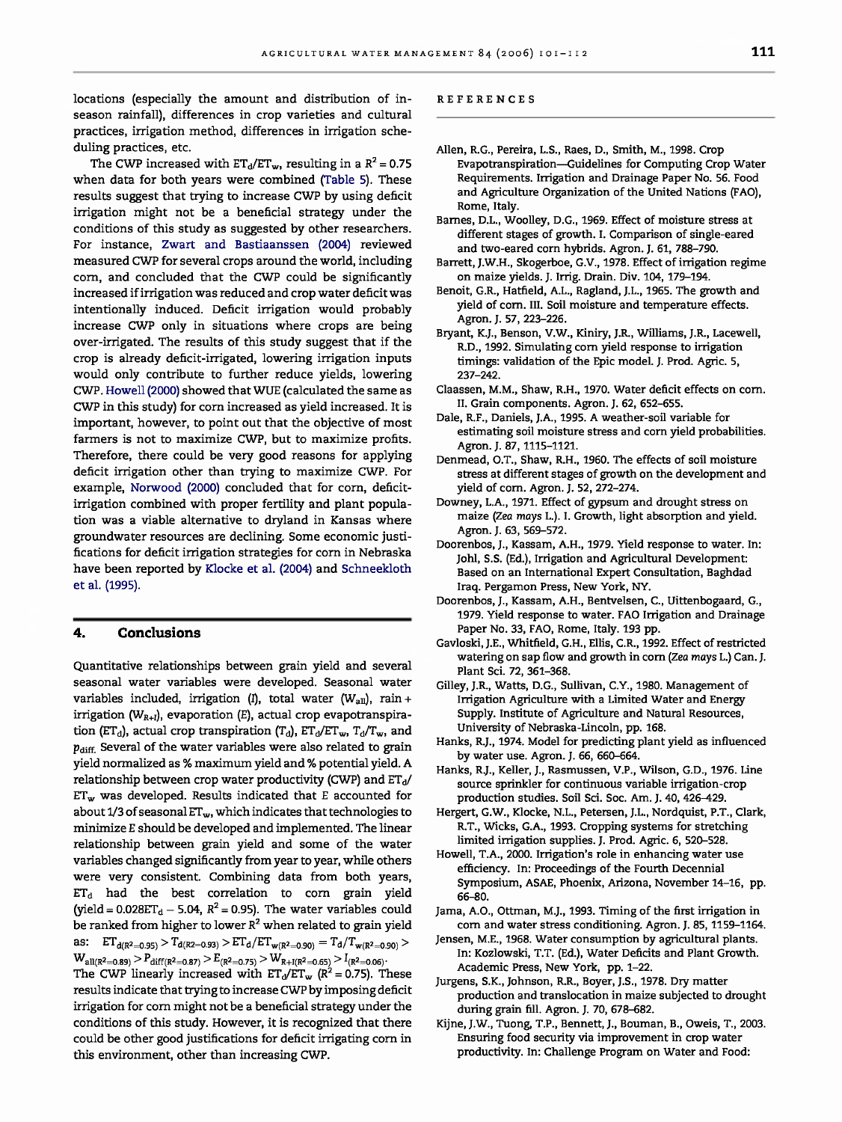locations (especially the amount and distribution of inseason rainfall), differences in crop varieties and cultural practices, irrigation method, differences in irrigation scheduling practices, etc.

The CWP increased with  $ET_d/ET_w$ , resulting in a  $R^2 = 0.75$ when data for both years were combined (Table 5). These results suggest that trying to increase CWP by using deficit irrigation might not be a beneficial strategy under the conditions of this study as suggested by other researchers. For instance, Zwart and Bastiaanssen (2004) reviewed measured CWP for several crops around the world, including corn, and concluded that the CWP could be significantly increased if irrigation was reduced and crop water deficit was intentionally induced. Deficit irrigation would probably increase CWP only in situations where crops are being over-irrigated. The results of this study suggest that if the crop is already deficit-irrigated, lowering irrigation inputs would only contribute to further reduce yields, lowering CWP. Howell (2000) showed that WUE (calculated the same as CWP in this study) for corn increased as yield increased. It is important, however, to point out that the objective of most farmers is not to maximize CWP, but to maximize profits. Therefore, there could be very good reasons for applying deficit irrigation other than trying to maximize CWP. For example, Norwood (2000) concluded that for corn, deficitirrigation combined with proper fertility and plant population was a viable alternative to dryland in Kansas where groundwater resources are declining. Some economic justifications for deficit irrigation strategies for corn in Nebraska have been reported by Klocke et al. (2004) and Schneekloth et al. (1995).

#### **4. Conclusions**

Quantitative relationships between grain yield and several seasonal water variables were developed. Seasonal water variables included, irrigation (I), total water ( $W_{all}$ ), rain + irrigation ( $W_{R+1}$ ), evaporation (E), actual crop evapotranspiration (ET<sub>d</sub>), actual crop transpiration (T<sub>d</sub>),  $ET_d/ET_w$ , T<sub>d</sub>/T<sub>w</sub>, and  $p_{\text{diff}}$ . Several of the water variables were also related to grain yield normalized as % maximum yield and % potential yield. A relationship between crop water productivity (CWP) and  $ET_d/$  $ET_w$  was developed. Results indicated that E accounted for about 1/3 of seasonal  $ET_w$ , which indicates that technologies to minimize E should be developed and implemented. The linear relationship between grain yield and some of the water variables changed significantly from year to year, while others were very consistent. Combining data from both years,  $ET<sub>d</sub>$  had the best correlation to corn grain yield (yield =  $0.028ET_d - 5.04$ ,  $R^2 = 0.95$ ). The water variables could be ranked from higher to lower  $R^2$  when related to grain yield as:  $ET_{d(R^2=0.95)} > T_{d(R2=0.93)} > ET_d/ET_{w(R^2=0.90)} = T_d/T_{w(R^2=0.90)} >$ <br> $W_{all(R^2=0.89)} > P_{diff(R^2=0.87)} > E_{(R^2=0.75)} > W_{R+1(R^2=0.65)} > I_{(R^2=0.06)}$ 

The CWP linearly increased with  $ET_d/ET_w$  ( $R^2 = 0.75$ ). These results indicate that trying to increase CWP by imposing deficit irrigation for corn might not be a beneficial strategy under the conditions of this study. However, it is recognized that there could be other good justifications for deficit irrigating corn in this environment, other than increasing CWP.

#### **REFERENCES**

- Allen, R.G., Pereira, L.S., Raes, D., Smith, M., 1998. Crop Evapotranspiration-Guidelines for Computing Crop Water Requirements. Irrigation and Drainage Paper No. 56. Food and Agriculture Organization of the United Nations (FAO), Rome, Italy.
- Barnes, D.L., Woolley, D.G., 1969. Effect of moisture stress at different stages of growth. I. Comparison of single-eared and two-eared corn hybrids. Agron. J. 61, 788-790.
- Barrett, J.W.H., Skogerboe, G.V., 1978. Effect of irrigation regime on maize yields. J. Irrig. Drain. Div. 104,179-194.
- Benoit, G.R., Hatfield, A.L., Ragland, J.L., 1965. The growth and yield of corn. III. Soil moisture and temperature effects. Agron. J. 57,223-226.
- Bryant, K.J., Benson, V.W., Kiniry, J.R., Williams, J.R., Lacewell, R.D., 1992. Simulating corn yield response to irrigation timings: validation of the Epic model. J. Prod. Agric. 5, 237-242.
- Claassen, M.M., Shaw, R.H., 1970. Water deficit effects on corn. II. Grain components. Agron. J. 62, 652-655.
- Dale, R.F., Daniels, J.A., 1995. A weather-soil variable for estimating soil moisture stress and corn yield probabilities. Agron. J. 87,1115-1121.
- Denmead, 0.T., Shaw, R.H., 1960. The effects of soil moisture stress at different stages of growth on the development and yield of corn. Agron. J. 52, 272-274.
- Downey, L.A., 1971. Effect of gypsum and drought stress on maize *(Zea mays* L.). I. Growth, light absorption and yield. Agron. J. 63, 569-572.
- Doorenbos, J., Kassam, A.H., 1979. Yield response to water. In: Johl, S.S. (Ed.), Irrigation and Agricultural Development: Based on an International Expert Consultation, Baghdad Iraq. Pergamon Press, New York, NY.
- Doorenbos, J., Kassam, A.H., Bentvelsen, C., Uittenbogaard, G., 1979. Yield response to water. FAO Irrigation and Drainage Paper No. 33, FAO, Rome, Italy. 193 pp.
- Gavloski, J.E., Whitfield, G.H., Ellis, C.R., 1992. Effect of restricted watering on sap flow and growth in corn (Zea mays L.) Can. J. Plant Sci. 72,361-368.
- Gilley, J.R., Watts, D.G., Sullivan, C.Y., 1980. Management of Irrigation Agriculture with a Limited Water and Energy Supply. Institute of Agriculture and Natural Resources, University of Nebraska-Lincoln, pp. 168.
- Hanks, R.J., 1974. Model for predicting plant yield as influenced by water use. Agron. J. 66,660-664.
- Hanks, R.J., Keller, J., Rasmussen, V.P., Wilson, G.D., 1976. Line source sprinkler for continuous variable irrigation-crop production studies. Soil Sci. Soc. Am. J. 40,426-429.
- Hergert, G.W., Klocke, N.L., Petersen, J.L., Nordquist, P.T., Clark, R.T., Wicks, G.A., 1993. Cropping systems for stretching limited irrigation supplies. J. Prod. Agric. 6, 520-528.
- Howell, T.A., 2000. Irrigation's role in enhancing water use efficiency. In: Proceedings of the Fourth Decennial Symposium, ASAE, Phoenix, Arizona, November 14-16, pp. 66-80.
- Jama, A.O., Ottman, M.J., 1993. Timing of the first irrigation in corn and water stress conditioning. Agron. J. 85, 1159-1164.
- Jensen, M.E., 1968. Water consumption by agricultural plants. In: Kozlowski, T.T. (Ed.), Water Deficits and Plant Growth. Academic Press, New York, pp. 1-22.
- Jurgens, S.K., Johnson, R.R., Boyer, J.S., 1978. Dry matter production and translocation in maize subjected to drought during grain fill. Agron. J. 70,678-682.
- Kijne, J.W., Tuong, T.P., Bennett, J., Bouman, B., Oweis, T., 2003. Ensuring food security via improvement in crop water productivity. In: Challenge Program on Water and Food: